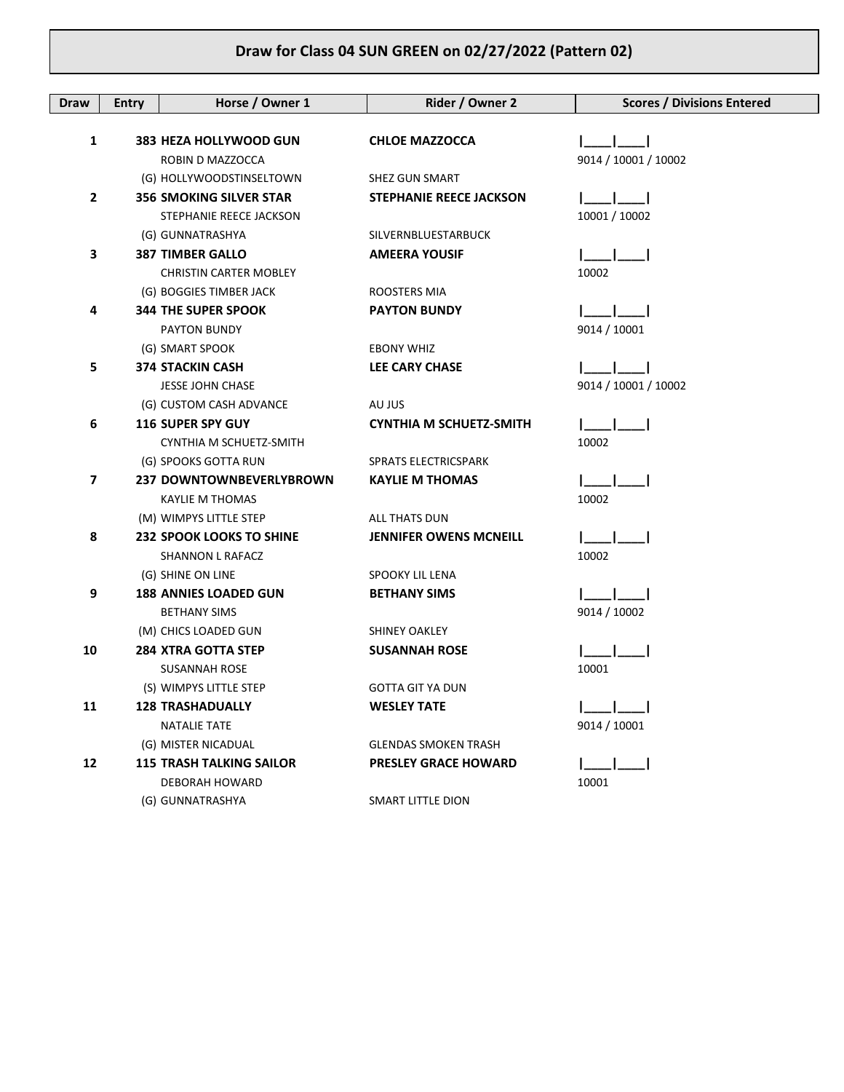## **Draw for Class 04 SUN GREEN on 02/27/2022 (Pattern 02)**

| Draw                    | <b>Entry</b> | Horse / Owner 1                                     | Rider / Owner 2                | <b>Scores / Divisions Entered</b> |
|-------------------------|--------------|-----------------------------------------------------|--------------------------------|-----------------------------------|
|                         |              |                                                     |                                |                                   |
| 1                       |              | 383 HEZA HOLLYWOOD GUN                              | <b>CHLOE MAZZOCCA</b>          |                                   |
|                         |              | ROBIN D MAZZOCCA                                    |                                | 9014 / 10001 / 10002              |
|                         |              | (G) HOLLYWOODSTINSELTOWN                            | SHEZ GUN SMART                 |                                   |
| $\mathbf{2}$            |              | <b>356 SMOKING SILVER STAR</b>                      | <b>STEPHANIE REECE JACKSON</b> |                                   |
|                         |              | STEPHANIE REECE JACKSON                             |                                | 10001 / 10002                     |
|                         |              | (G) GUNNATRASHYA                                    | SILVERNBLUESTARBUCK            |                                   |
| 3                       |              | <b>387 TIMBER GALLO</b>                             | <b>AMEERA YOUSIF</b>           |                                   |
|                         |              | <b>CHRISTIN CARTER MOBLEY</b>                       |                                | 10002                             |
|                         |              | (G) BOGGIES TIMBER JACK                             | ROOSTERS MIA                   |                                   |
| 4                       |              | <b>344 THE SUPER SPOOK</b>                          | <b>PAYTON BUNDY</b>            | $\mathbf{I} = \mathbf{I}$         |
|                         |              | PAYTON BUNDY                                        |                                | 9014 / 10001                      |
|                         |              | (G) SMART SPOOK                                     | <b>EBONY WHIZ</b>              |                                   |
| 5                       |              | <b>374 STACKIN CASH</b>                             | <b>LEE CARY CHASE</b>          |                                   |
|                         |              | <b>JESSE JOHN CHASE</b>                             |                                | 9014 / 10001 / 10002              |
|                         |              | (G) CUSTOM CASH ADVANCE                             | AU JUS                         |                                   |
| 6                       |              | <b>116 SUPER SPY GUY</b>                            | CYNTHIA M SCHUETZ-SMITH        |                                   |
|                         |              | CYNTHIA M SCHUETZ-SMITH                             |                                | 10002                             |
|                         |              | (G) SPOOKS GOTTA RUN                                | SPRATS ELECTRICSPARK           |                                   |
| $\overline{\mathbf{z}}$ |              | 237 DOWNTOWNBEVERLYBROWN                            | <b>KAYLIE M THOMAS</b>         |                                   |
|                         |              | <b>KAYLIE M THOMAS</b>                              |                                | 10002                             |
|                         |              | (M) WIMPYS LITTLE STEP                              | ALL THATS DUN                  |                                   |
| 8                       |              | <b>232 SPOOK LOOKS TO SHINE</b>                     | <b>JENNIFER OWENS MCNEILL</b>  |                                   |
|                         |              | SHANNON L RAFACZ                                    |                                | 10002                             |
|                         |              | (G) SHINE ON LINE                                   | SPOOKY LIL LENA                |                                   |
| 9                       |              | <b>188 ANNIES LOADED GUN</b><br><b>BETHANY SIMS</b> | <b>BETHANY SIMS</b>            | 9014 / 10002                      |
|                         |              | (M) CHICS LOADED GUN                                | <b>SHINEY OAKLEY</b>           |                                   |
| 10                      |              | <b>284 XTRA GOTTA STEP</b>                          | <b>SUSANNAH ROSE</b>           |                                   |
|                         |              | <b>SUSANNAH ROSE</b>                                |                                | 10001                             |
|                         |              | (S) WIMPYS LITTLE STEP                              | <b>GOTTA GIT YA DUN</b>        |                                   |
| 11                      |              | <b>128 TRASHADUALLY</b>                             | <b>WESLEY TATE</b>             |                                   |
|                         |              | <b>NATALIE TATE</b>                                 |                                | 9014 / 10001                      |
|                         |              | (G) MISTER NICADUAL                                 | <b>GLENDAS SMOKEN TRASH</b>    |                                   |
| 12                      |              | <b>115 TRASH TALKING SAILOR</b>                     | <b>PRESLEY GRACE HOWARD</b>    |                                   |
|                         |              | DEBORAH HOWARD                                      |                                | 10001                             |
|                         |              | (G) GUNNATRASHYA                                    | SMART LITTLE DION              |                                   |